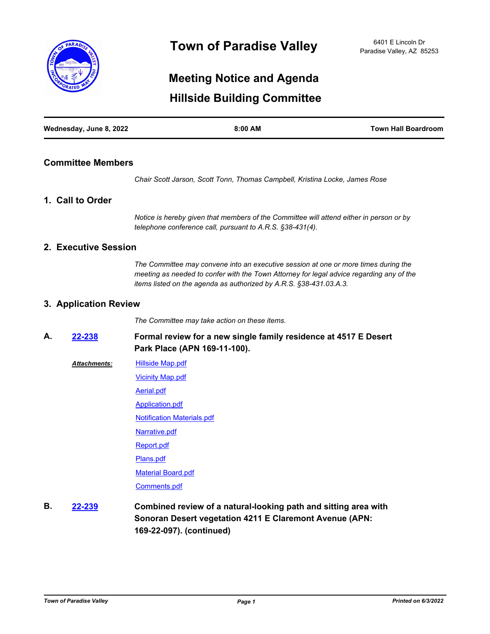

# **Hillside Building Committee Meeting Notice and Agenda**

| Wednesday, June 8, 2022 | 8:00 AM | <b>Town Hall Boardroom</b> |
|-------------------------|---------|----------------------------|
|                         |         |                            |

# **Committee Members**

*Chair Scott Jarson, Scott Tonn, Thomas Campbell, Kristina Locke, James Rose*

# **1. Call to Order**

*Notice is hereby given that members of the Committee will attend either in person or by telephone conference call, pursuant to A.R.S. §38-431(4).*

# **2. Executive Session**

*The Committee may convene into an executive session at one or more times during the meeting as needed to confer with the Town Attorney for legal advice regarding any of the items listed on the agenda as authorized by A.R.S. §38-431.03.A.3.*

# **3. Application Review**

*The Committee may take action on these items.*

**Formal review for a new single family residence at 4517 E Desert Park Place (APN 169-11-100). A. [22-238](http://paradisevalleyaz.legistar.com/gateway.aspx?m=l&id=/matter.aspx?key=4336)**

[Hillside Map.pdf](http://paradisevalleyaz.legistar.com/gateway.aspx?M=F&ID=ca3bb0ef-7588-4a45-9f41-a825691267e6.pdf) *Attachments:*

[Vicinity Map.pdf](http://paradisevalleyaz.legistar.com/gateway.aspx?M=F&ID=289e0f23-7565-44ec-b30a-6a9ea423d854.pdf)

[Aerial.pdf](http://paradisevalleyaz.legistar.com/gateway.aspx?M=F&ID=e2de5dbd-9530-4a6b-80f1-1a6bc2b6ca50.pdf)

[Application.pdf](http://paradisevalleyaz.legistar.com/gateway.aspx?M=F&ID=e4bca7c0-dc52-4777-9661-0ed33b845ced.pdf)

[Notification Materials.pdf](http://paradisevalleyaz.legistar.com/gateway.aspx?M=F&ID=3f80266d-a18b-4d25-9a43-9bceb7ee168d.pdf)

[Narrative.pdf](http://paradisevalleyaz.legistar.com/gateway.aspx?M=F&ID=bb00be7f-6d02-4e5b-bcf1-4ebc7a68af9d.pdf)

[Report.pdf](http://paradisevalleyaz.legistar.com/gateway.aspx?M=F&ID=a8200334-d469-4c07-b9ba-9ac40a5cc2d6.pdf)

[Plans.pdf](http://paradisevalleyaz.legistar.com/gateway.aspx?M=F&ID=5a79504b-3317-4b24-be3a-0d0f349a663e.pdf)

[Material Board.pdf](http://paradisevalleyaz.legistar.com/gateway.aspx?M=F&ID=921f4f00-2607-4da2-b782-97f259ccf1ec.pdf)

[Comments.pdf](http://paradisevalleyaz.legistar.com/gateway.aspx?M=F&ID=9e0d5a4c-181a-4b2f-af37-55cd35beb7d0.pdf)

**Combined review of a natural-looking path and sitting area with Sonoran Desert vegetation 4211 E Claremont Avenue (APN: 169-22-097). (continued) B. [22-239](http://paradisevalleyaz.legistar.com/gateway.aspx?m=l&id=/matter.aspx?key=4337)**